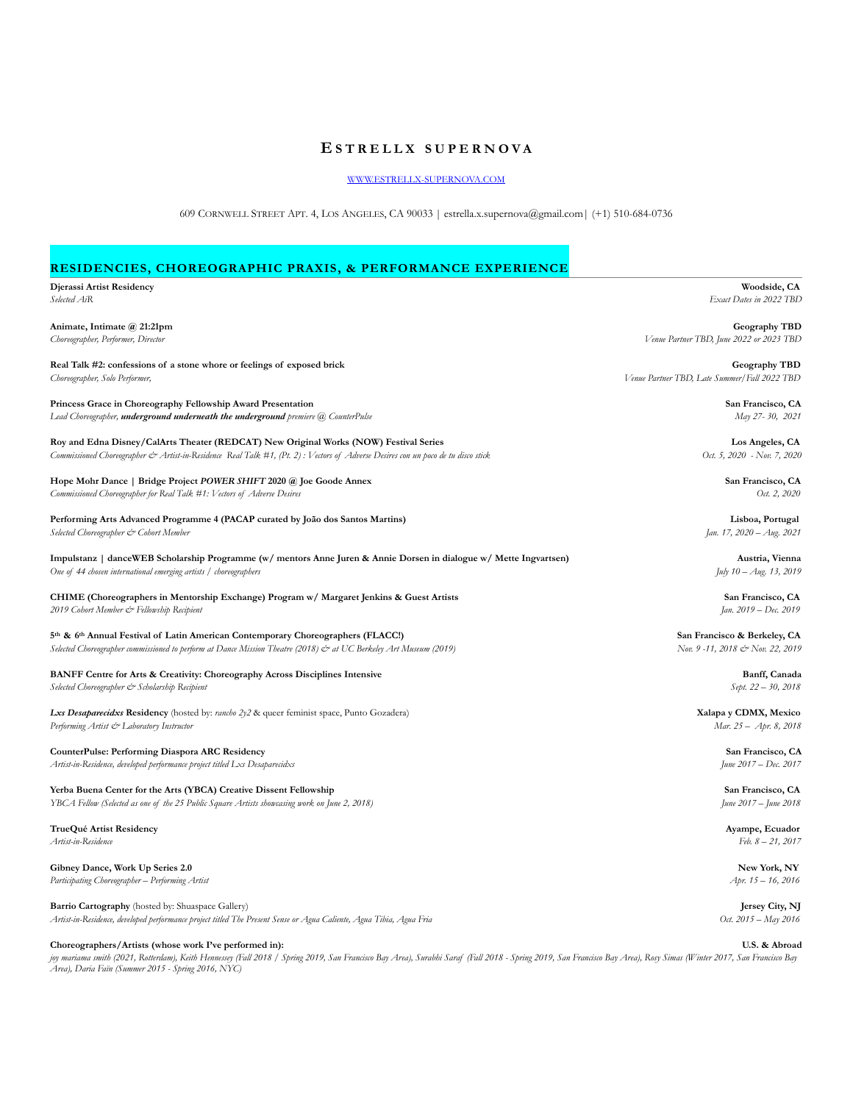# **E STRELLX SUPERNOVA**

[WWW.ESTRELLX-SUPERNOVA.COM](http://WWW.ESTRELLX-SUPERNOVA.COM)

609 CORNWELL STREET APT. 4, LOS ANGELES, CA 90033 | estrella.x.supernova@gmail.com| (+1) 510-684-0736

# **RESIDENCIES, CHOREOGRAPHIC PRAXIS, & PERFORMANCE EXPERIENCE**

| Djerassi Artist Residency<br>Selected AiR                                                                                                                                                                                 | Woodside, CA<br>Exact Dates in 2022 TBD        |
|---------------------------------------------------------------------------------------------------------------------------------------------------------------------------------------------------------------------------|------------------------------------------------|
|                                                                                                                                                                                                                           |                                                |
| Animate, Intimate @ 21:21pm                                                                                                                                                                                               | Geography TBD                                  |
| Choreographer, Performer, Director                                                                                                                                                                                        | Venue Partner TBD, June 2022 or 2023 TBD       |
| Real Talk #2: confessions of a stone whore or feelings of exposed brick                                                                                                                                                   | Geography TBD                                  |
| Choreographer, Solo Performer,                                                                                                                                                                                            | Venue Partner TBD, Late Summer/Fall 2022 TBD   |
| Princess Grace in Choreography Fellowship Award Presentation                                                                                                                                                              | San Francisco, CA                              |
| Lead Choreographer, underground underneath the underground premiere (a) CounterPulse                                                                                                                                      | May 27-30, 2021                                |
|                                                                                                                                                                                                                           |                                                |
| Roy and Edna Disney/CalArts Theater (REDCAT) New Original Works (NOW) Festival Series<br>Commissioned Choreographer & Artist-in-Residence Real Talk #1, (Pt. 2): Vectors of Adverse Desires con un poco de tu disco stick | Los Angeles, CA<br>Oct. 5, 2020 - Nov. 7, 2020 |
|                                                                                                                                                                                                                           |                                                |
| Hope Mohr Dance   Bridge Project POWER SHIFT 2020 @ Joe Goode Annex                                                                                                                                                       | San Francisco, CA                              |
| Commissioned Choreographer for Real Talk #1: Vectors of Adverse Desires                                                                                                                                                   | Oct. 2, 2020                                   |
| Performing Arts Advanced Programme 4 (PACAP curated by João dos Santos Martins)                                                                                                                                           | Lisboa, Portugal                               |
| Selected Choreographer & Cohort Member                                                                                                                                                                                    | Jan. 17, 2020 - Aug. 2021                      |
| Impulstanz   danceWEB Scholarship Programme (w/ mentors Anne Juren & Annie Dorsen in dialogue w/ Mette Ingvartsen)                                                                                                        | Austria, Vienna                                |
| One of 44 chosen international emerging artists / choreographers                                                                                                                                                          | July $10 - Aug. 13, 2019$                      |
|                                                                                                                                                                                                                           |                                                |
| CHIME (Choreographers in Mentorship Exchange) Program w/ Margaret Jenkins & Guest Artists<br>2019 Cohort Member & Fellowship Recipient                                                                                    | San Francisco, CA<br>Jan. 2019 - Dec. 2019     |
|                                                                                                                                                                                                                           |                                                |
| 5th & 6th Annual Festival of Latin American Contemporary Choreographers (FLACC!)                                                                                                                                          | San Francisco & Berkeley, CA                   |
| Selected Choreographer commissioned to perform at Dance Mission Theatre (2018) & at UC Berkeley Art Museum (2019)                                                                                                         | Nov. 9 -11, 2018 & Nov. 22, 2019               |
| <b>BANFF Centre for Arts &amp; Creativity: Choreography Across Disciplines Intensive</b>                                                                                                                                  | Banff, Canada                                  |
| Selected Choreographer & Scholarship Recipient                                                                                                                                                                            | Sept. 22 - 30, 2018                            |
| Lxs Desaparecidxs Residency (hosted by: rancho 2y2 & queer feminist space, Punto Gozadera)                                                                                                                                | Xalapa y CDMX, Mexico                          |
| Performing Artist & Laboratory Instructor                                                                                                                                                                                 | Mar. 25 - Apr. 8, 2018                         |
|                                                                                                                                                                                                                           |                                                |
| CounterPulse: Performing Diaspora ARC Residency<br>Artist-in-Residence, developed performance project titled Lxs Desaparecidxs                                                                                            | San Francisco, CA<br>June 2017 - Dec. 2017     |
|                                                                                                                                                                                                                           |                                                |
| Yerba Buena Center for the Arts (YBCA) Creative Dissent Fellowship                                                                                                                                                        | San Francisco, CA                              |
| YBCA Fellow (Selected as one of the 25 Public Square Artists showcasing work on June 2, 2018)                                                                                                                             | June 2017 - June 2018                          |
| TrueQué Artist Residency                                                                                                                                                                                                  | Ayampe, Ecuador                                |
| Artist-in-Residence                                                                                                                                                                                                       | $Feb. 8 - 21, 2017$                            |
| Gibney Dance, Work Up Series 2.0                                                                                                                                                                                          | New York, NY                                   |
| Participating Choreographer - Performing Artist                                                                                                                                                                           | Apr. 15 - 16, 2016                             |
|                                                                                                                                                                                                                           |                                                |
| Barrio Cartography (hosted by: Shuaspace Gallery)                                                                                                                                                                         | Jersey City, NJ                                |

*Artist-in-Residence, developed performance project titled The Present Sense or Agua Caliente, Agua Tibia, Agua Fria Oct. 2015 – May 2016*

**Choreographers/Artists (whose work I've performed in): U.S. & Abroad**

*joy mariama smith (2021, Rotterdam), Keith Hennessey (Fall 2018 / Spring 2019, San Francisco Bay Area), Surabhi Saraf (Fall 2018 - Spring 2019, San Francisco Bay Area), Rosy Simas (Winter 2017, San Francisco Bay Area), Daria Faïn (Summer 2015 - Spring 2016, NYC)*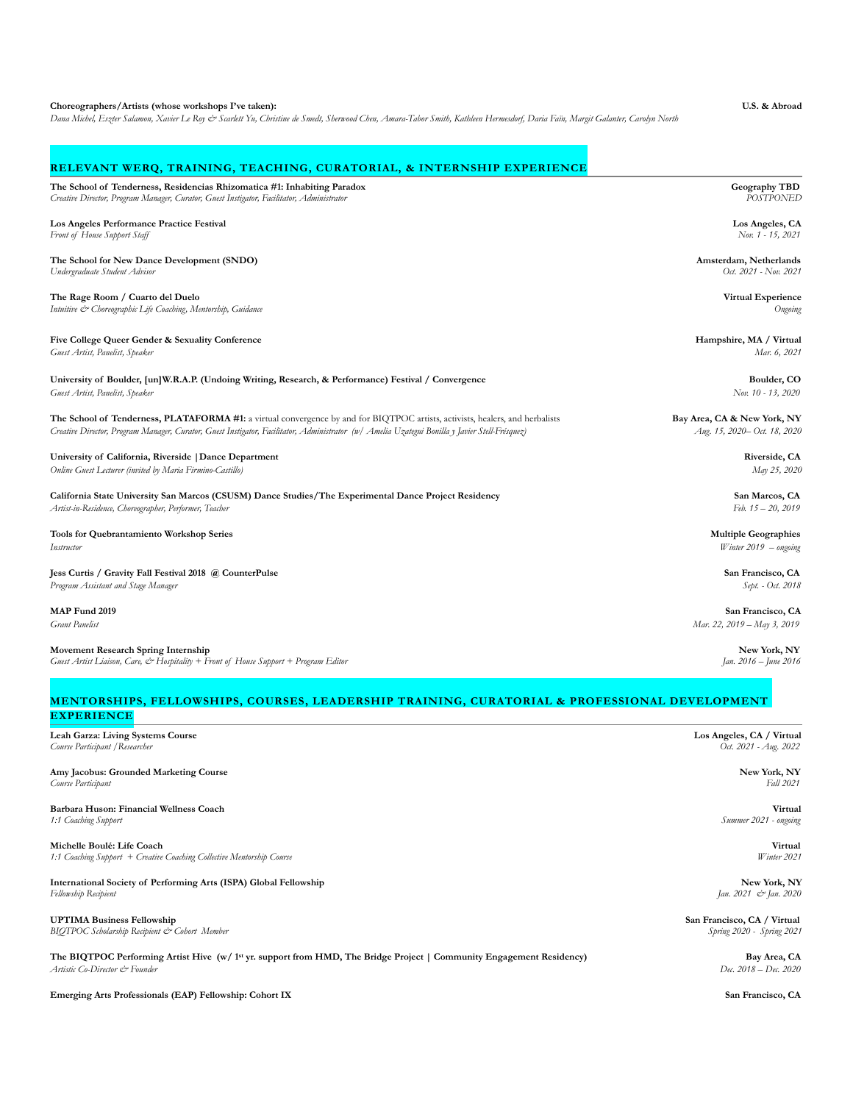#### **Choreographers/Artists (whose workshops I've taken): U.S. & Abroad**

*Dana Michel, Eszter Salamon, Xavier Le Roy & Scarlett Yu, Christine de Smedt, Sherwood Chen, Amara-Tabor Smith, Kathleen Hermesdorf, Daria Faïn, Margit Galanter, Carolyn North*

# **RELEVANT WERQ, TRAINING, TEACHING, CURATORIAL, & INTERNSHIP EXPERIENCE**

**The School of Tenderness, Residencias Rhizomatica #1: Inhabiting Paradox** Geography TBD **Geography TBD** *Geography TBD Geography TBD Creative Director, Program Manager, Curator, Guest Instigator, Facilitator, Administ* Creative Director, Program Manager, Curator, Guest Instigator, Facilitator, Administrator

# **Los Angeles Performance Practice Festival**<br>
Front of House Support Staff Nov. 1 - 15, 2021<br>
Nov. 1 - 15, 2021

Front of House Support Staff

### **The School for New Dance Development (SNDO) Amsterdam, Netherlands Amsterdam, Netherlands** *Oct. 2021* - Non. 2021<br>
Undergraduate Student Advisor *Oct. 2021* - Non. 2021 *Undergraduate Student Advisor*

**The Rage Room / Cuarto del Duelo Virtual Experience**  *Intuitive*  $\stackrel{\text{def}}{C}$  *Choreographic Life Coaching, Mentorship, Guidance* Ongoing

## Five College Queer Gender & Sexuality Conference **Hampshire, MA / Virtual Hampshire, MA / Virtual**

*Guest Artist, Panelist, Speaker Mar. 6, 2021*

### **University of Boulder, [un]W.R.A.P. (Undoing Writing, Research, & Performance) Festival / Convergence Boulder, CO** *Guest Artist, Panelist, Speaker Nov. 10 - 13, 2020*

The School of Tenderness, PLATAFORMA #1: a virtual convergence by and for BIQTPOC artists, activists, healers, and herbalists **Bay Area, CA & New York, NY** *Creative Director, Program Manager, Curator, Guest Instigator, Facilitator, Administrator (w/ Amelia Uzategui Bonilla y Javier Stell-Frésquez) Aug. 15, 2020– Oct. 18, 2020* 

# **University of California, Riverside |Dance Department Riverside, CA**

*Online Guest Lecturer (invited by Maria Firmino-Castillo) May 25, 2020* 

**California State University San Marcos (CSUSM) Dance Studies/The Experimental Dance Project Residency San Marcos, CA** *Artist-in-Residence, Choreographer, Performer, Teacher* Feb. 15 – 20, 2019 **Feb. 15 – 20, 2019 Feb. 15 – 20, 2019** 

# **Tools for Quebrantamiento Workshop Series Multiple Geographies**  *Instructor Winter 2019 – ongoing*

# **Jess Curtis / Gravity Fall Festival 2018 @ CounterPulse San Francisco, CA**

*Program Assistant and Stage Manager Sept. - Oct. 2018* 

#### **MAP Fund 2019 San Francisco, CA**

*Grant Panelist Mar. 22, 2019 – May 3, 2019* 

**Movement Research Spring Internship New York, NY**<br> *Guest Artist Liaison, Care, & Hospitality* + Front of House Support + Program Editor Jan. 2016 - Jan. 2016 - June 2016 *Guest Artist Liaison, Care,*  $\dot{\mathcal{C}}$  *Hospitality + Front of House Support + Program Editor* 

**MENTORSHIPS, FELLOWSHIPS, COURSES, LEADERSHIP TRAINING, CURATORIAL & PROFESSIONAL DEVELOPMENT EXPERIENCE**

| Leah Garza: Living Systems Course                                                                                                 | Los Angeles, CA / Virtual   |
|-----------------------------------------------------------------------------------------------------------------------------------|-----------------------------|
| Course Participant / Researcher                                                                                                   | Oct. 2021 - Aug. 2022       |
| Amy Jacobus: Grounded Marketing Course                                                                                            | New York, NY                |
| Course Participant                                                                                                                | Fall 2021                   |
| Barbara Huson: Financial Wellness Coach                                                                                           | Virtual                     |
| 1:1 Coaching Support                                                                                                              | Summer 2021 - ongoing       |
| Michelle Boulé: Life Coach                                                                                                        | Virtual                     |
| 1:1 Coaching Support + Creative Coaching Collective Mentorship Course                                                             | Winter 2021                 |
| <b>International Society of Performing Arts (ISPA) Global Fellowship</b>                                                          | New York, NY                |
| Fellowship Recipient                                                                                                              | Jan. 2021 & Jan. 2020       |
| <b>UPTIMA Business Fellowship</b>                                                                                                 | San Francisco, CA / Virtual |
| <b>BIOTPOC Scholarship Recipient &amp; Cohort Member</b>                                                                          | Spring 2020 - Spring 2021   |
| The BIQTPOC Performing Artist Hive (w/ 1 <sup>st</sup> yr. support from HMD, The Bridge Project   Community Engagement Residency) | Bay Area, CA                |
| Artistic Co-Director & Founder                                                                                                    | Dec. 2018 – Dec. 2020       |

**Emerging Arts Professionals (EAP) Fellowship: Cohort IX San Francisco, CA**